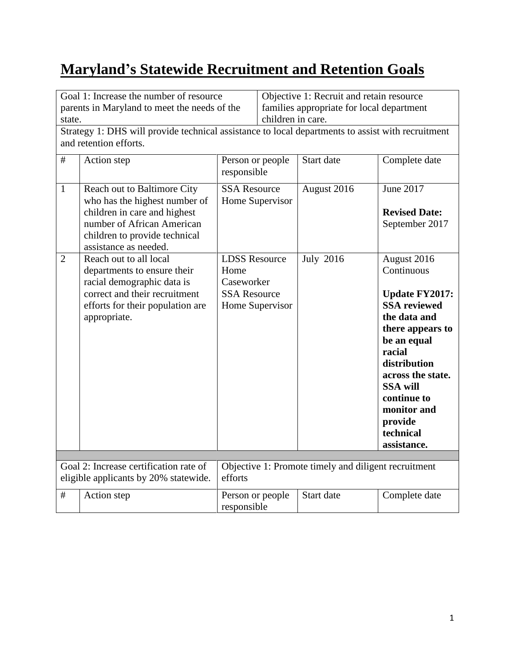## **Maryland's Statewide Recruitment and Retention Goals**

| Goal 1: Increase the number of resource<br>parents in Maryland to meet the needs of the<br>state. |                                                                                                                                                                                      |                                                                                      | Objective 1: Recruit and retain resource<br>families appropriate for local department<br>children in care. |                                                      |                                                                                                                                                                                                                                                                     |
|---------------------------------------------------------------------------------------------------|--------------------------------------------------------------------------------------------------------------------------------------------------------------------------------------|--------------------------------------------------------------------------------------|------------------------------------------------------------------------------------------------------------|------------------------------------------------------|---------------------------------------------------------------------------------------------------------------------------------------------------------------------------------------------------------------------------------------------------------------------|
|                                                                                                   | Strategy 1: DHS will provide technical assistance to local departments to assist with recruitment<br>and retention efforts.                                                          |                                                                                      |                                                                                                            |                                                      |                                                                                                                                                                                                                                                                     |
| #                                                                                                 | Action step                                                                                                                                                                          | Person or people<br>responsible                                                      |                                                                                                            | Start date                                           | Complete date                                                                                                                                                                                                                                                       |
| $\mathbf{1}$                                                                                      | Reach out to Baltimore City<br>who has the highest number of<br>children in care and highest<br>number of African American<br>children to provide technical<br>assistance as needed. | <b>SSA Resource</b><br>Home Supervisor                                               |                                                                                                            | August 2016                                          | June 2017<br><b>Revised Date:</b><br>September 2017                                                                                                                                                                                                                 |
| $\overline{2}$                                                                                    | Reach out to all local<br>departments to ensure their<br>racial demographic data is<br>correct and their recruitment<br>efforts for their population are<br>appropriate.             | <b>LDSS Resource</b><br>Home<br>Caseworker<br><b>SSA Resource</b><br>Home Supervisor |                                                                                                            | <b>July 2016</b>                                     | August 2016<br>Continuous<br><b>Update FY2017:</b><br><b>SSA</b> reviewed<br>the data and<br>there appears to<br>be an equal<br>racial<br>distribution<br>across the state.<br><b>SSA will</b><br>continue to<br>monitor and<br>provide<br>technical<br>assistance. |
|                                                                                                   | Goal 2: Increase certification rate of<br>eligible applicants by 20% statewide.                                                                                                      | efforts                                                                              |                                                                                                            | Objective 1: Promote timely and diligent recruitment |                                                                                                                                                                                                                                                                     |
| $\#$                                                                                              | Action step                                                                                                                                                                          | Person or people<br>responsible                                                      |                                                                                                            | Start date                                           | Complete date                                                                                                                                                                                                                                                       |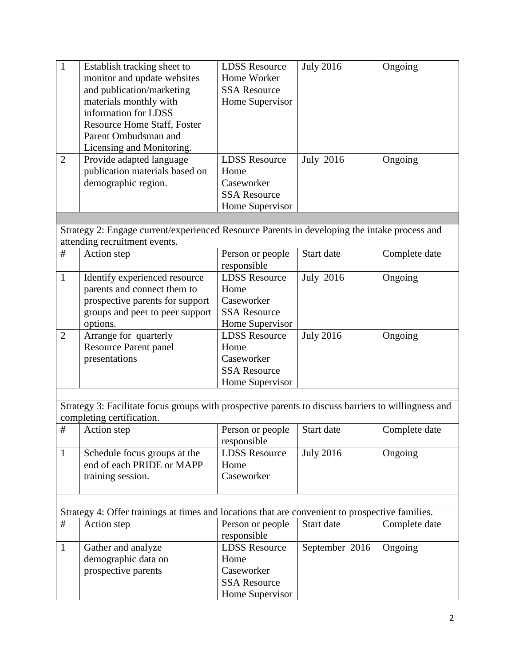| $\mathbf{1}$   | Establish tracking sheet to<br>monitor and update websites<br>and publication/marketing<br>materials monthly with<br>information for LDSS      | <b>LDSS Resource</b><br>Home Worker<br><b>SSA Resource</b><br>Home Supervisor        | <b>July 2016</b> | Ongoing       |
|----------------|------------------------------------------------------------------------------------------------------------------------------------------------|--------------------------------------------------------------------------------------|------------------|---------------|
|                | <b>Resource Home Staff, Foster</b><br>Parent Ombudsman and<br>Licensing and Monitoring.                                                        |                                                                                      |                  |               |
| $\overline{2}$ | Provide adapted language<br>publication materials based on<br>demographic region.                                                              | <b>LDSS Resource</b><br>Home<br>Caseworker<br><b>SSA Resource</b><br>Home Supervisor | <b>July 2016</b> | Ongoing       |
|                |                                                                                                                                                |                                                                                      |                  |               |
|                | Strategy 2: Engage current/experienced Resource Parents in developing the intake process and<br>attending recruitment events.                  |                                                                                      |                  |               |
| $\#$           | Action step                                                                                                                                    | Person or people<br>responsible                                                      | Start date       | Complete date |
| $\mathbf{1}$   | Identify experienced resource<br>parents and connect them to<br>prospective parents for support<br>groups and peer to peer support<br>options. | <b>LDSS Resource</b><br>Home<br>Caseworker<br><b>SSA Resource</b><br>Home Supervisor | <b>July 2016</b> | Ongoing       |
| $\overline{2}$ | Arrange for quarterly<br><b>Resource Parent panel</b><br>presentations                                                                         | <b>LDSS Resource</b><br>Home<br>Caseworker<br><b>SSA Resource</b><br>Home Supervisor | <b>July 2016</b> | Ongoing       |
|                |                                                                                                                                                |                                                                                      |                  |               |
|                | Strategy 3: Facilitate focus groups with prospective parents to discuss barriers to willingness and<br>completing certification.               |                                                                                      |                  |               |
| $\#$           | Action step                                                                                                                                    | Person or people<br>responsible                                                      | Start date       | Complete date |
| $\mathbf{1}$   | Schedule focus groups at the<br>end of each PRIDE or MAPP<br>training session.                                                                 | <b>LDSS Resource</b><br>Home<br>Caseworker                                           | <b>July 2016</b> | Ongoing       |
|                |                                                                                                                                                |                                                                                      |                  |               |
| $\#$           | Strategy 4: Offer trainings at times and locations that are convenient to prospective families.                                                |                                                                                      | Start date       |               |
|                | Action step                                                                                                                                    | Person or people<br>responsible                                                      |                  | Complete date |
| $\mathbf{1}$   | Gather and analyze<br>demographic data on<br>prospective parents                                                                               | <b>LDSS Resource</b><br>Home<br>Caseworker<br><b>SSA Resource</b><br>Home Supervisor | September 2016   | Ongoing       |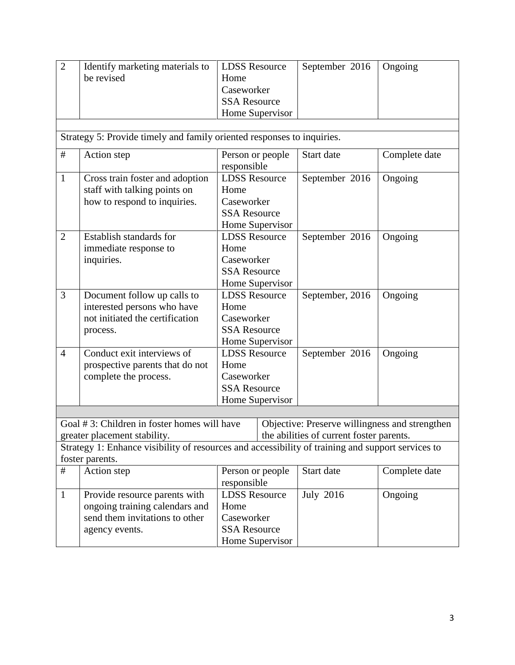| $\overline{2}$ | Identify marketing materials to<br>be revised                                                                        | <b>LDSS Resource</b><br>Home<br>Caseworker<br><b>SSA Resource</b><br>Home Supervisor | September 2016                                                                             | $O$ ngoing    |
|----------------|----------------------------------------------------------------------------------------------------------------------|--------------------------------------------------------------------------------------|--------------------------------------------------------------------------------------------|---------------|
|                | Strategy 5: Provide timely and family oriented responses to inquiries.                                               |                                                                                      |                                                                                            |               |
| #              | Action step                                                                                                          | Person or people<br>responsible                                                      | Start date                                                                                 | Complete date |
| $\mathbf{1}$   | Cross train foster and adoption<br>staff with talking points on<br>how to respond to inquiries.                      | <b>LDSS Resource</b><br>Home<br>Caseworker<br><b>SSA Resource</b><br>Home Supervisor | September 2016                                                                             | Ongoing       |
| $\overline{2}$ | Establish standards for<br>immediate response to<br>inquiries.                                                       | <b>LDSS Resource</b><br>Home<br>Caseworker<br><b>SSA Resource</b><br>Home Supervisor | September 2016                                                                             | Ongoing       |
| 3              | Document follow up calls to<br>interested persons who have<br>not initiated the certification<br>process.            | <b>LDSS Resource</b><br>Home<br>Caseworker<br><b>SSA Resource</b><br>Home Supervisor | September, 2016                                                                            | Ongoing       |
| $\overline{4}$ | Conduct exit interviews of<br>prospective parents that do not<br>complete the process.                               | <b>LDSS Resource</b><br>Home<br>Caseworker<br><b>SSA Resource</b><br>Home Supervisor | September 2016                                                                             | Ongoing       |
|                | Goal #3: Children in foster homes will have<br>greater placement stability.                                          |                                                                                      | Objective: Preserve willingness and strengthen<br>the abilities of current foster parents. |               |
|                | Strategy 1: Enhance visibility of resources and accessibility of training and support services to<br>foster parents. |                                                                                      |                                                                                            |               |
| #              | Action step                                                                                                          | Person or people<br>responsible                                                      | Start date                                                                                 | Complete date |
| $\mathbf{1}$   | Provide resource parents with<br>ongoing training calendars and<br>send them invitations to other<br>agency events.  | <b>LDSS Resource</b><br>Home<br>Caseworker<br><b>SSA Resource</b><br>Home Supervisor | <b>July 2016</b>                                                                           | Ongoing       |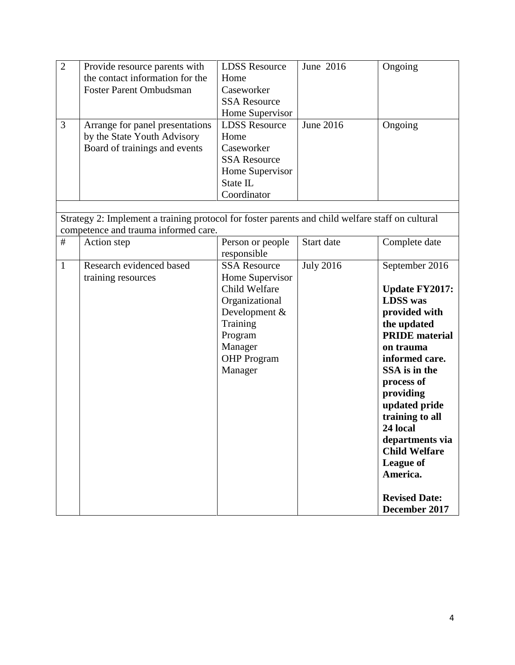| $\overline{2}$ | Provide resource parents with                                                                    | <b>LDSS Resource</b> | June 2016        | Ongoing               |
|----------------|--------------------------------------------------------------------------------------------------|----------------------|------------------|-----------------------|
|                | the contact information for the                                                                  | Home                 |                  |                       |
|                | <b>Foster Parent Ombudsman</b>                                                                   | Caseworker           |                  |                       |
|                |                                                                                                  | <b>SSA Resource</b>  |                  |                       |
|                |                                                                                                  | Home Supervisor      |                  |                       |
| 3              | Arrange for panel presentations                                                                  | <b>LDSS Resource</b> | June 2016        | Ongoing               |
|                | by the State Youth Advisory                                                                      | Home                 |                  |                       |
|                | Board of trainings and events                                                                    | Caseworker           |                  |                       |
|                |                                                                                                  | <b>SSA Resource</b>  |                  |                       |
|                |                                                                                                  | Home Supervisor      |                  |                       |
|                |                                                                                                  | State IL             |                  |                       |
|                |                                                                                                  | Coordinator          |                  |                       |
|                |                                                                                                  |                      |                  |                       |
|                | Strategy 2: Implement a training protocol for foster parents and child welfare staff on cultural |                      |                  |                       |
|                | competence and trauma informed care.                                                             |                      |                  |                       |
| $\#$           | Action step                                                                                      | Person or people     | Start date       | Complete date         |
|                |                                                                                                  | responsible          |                  |                       |
| $\mathbf{1}$   | Research evidenced based                                                                         | <b>SSA Resource</b>  | <b>July 2016</b> | September 2016        |
|                | training resources                                                                               | Home Supervisor      |                  |                       |
|                |                                                                                                  | Child Welfare        |                  | <b>Update FY2017:</b> |
|                |                                                                                                  | Organizational       |                  | <b>LDSS</b> was       |
|                |                                                                                                  | Development &        |                  | provided with         |
|                |                                                                                                  | Training             |                  | the updated           |
|                |                                                                                                  | Program              |                  | <b>PRIDE</b> material |
|                |                                                                                                  | Manager              |                  | on trauma             |
|                |                                                                                                  | <b>OHP</b> Program   |                  | informed care.        |
|                |                                                                                                  | Manager              |                  | SSA is in the         |
|                |                                                                                                  |                      |                  | process of            |
|                |                                                                                                  |                      |                  | providing             |
|                |                                                                                                  |                      |                  | updated pride         |
|                |                                                                                                  |                      |                  | training to all       |
|                |                                                                                                  |                      |                  | 24 local              |
|                |                                                                                                  |                      |                  | departments via       |
|                |                                                                                                  |                      |                  | <b>Child Welfare</b>  |
|                |                                                                                                  |                      |                  | League of             |
|                |                                                                                                  |                      |                  | America.              |
|                |                                                                                                  |                      |                  | <b>Revised Date:</b>  |
|                |                                                                                                  |                      |                  | December 2017         |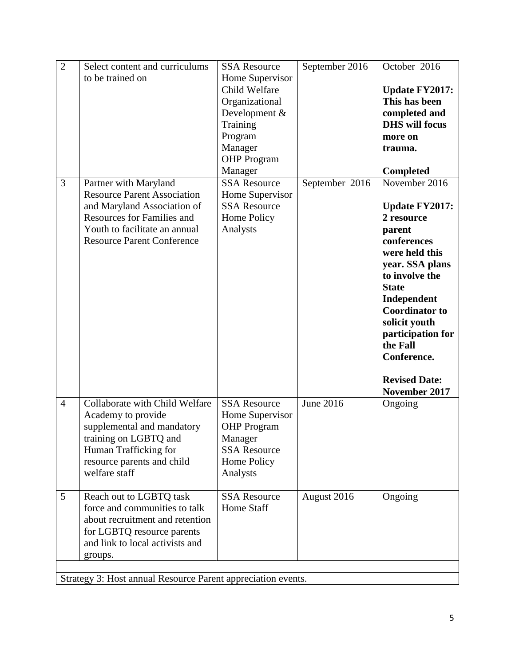| $\overline{2}$ | Select content and curriculums                               | <b>SSA Resource</b> | September 2016 | October 2016          |
|----------------|--------------------------------------------------------------|---------------------|----------------|-----------------------|
|                | to be trained on                                             | Home Supervisor     |                |                       |
|                |                                                              | Child Welfare       |                | <b>Update FY2017:</b> |
|                |                                                              | Organizational      |                | This has been         |
|                |                                                              | Development &       |                | completed and         |
|                |                                                              | Training            |                | <b>DHS</b> will focus |
|                |                                                              | Program             |                | more on               |
|                |                                                              | Manager             |                | trauma.               |
|                |                                                              | <b>OHP</b> Program  |                |                       |
|                |                                                              | Manager             |                | <b>Completed</b>      |
| 3              | Partner with Maryland                                        | <b>SSA Resource</b> | September 2016 | November $2016$       |
|                | <b>Resource Parent Association</b>                           | Home Supervisor     |                |                       |
|                | and Maryland Association of                                  | <b>SSA Resource</b> |                | <b>Update FY2017:</b> |
|                | <b>Resources for Families and</b>                            | Home Policy         |                | 2 resource            |
|                | Youth to facilitate an annual                                |                     |                |                       |
|                | <b>Resource Parent Conference</b>                            | Analysts            |                | parent<br>conferences |
|                |                                                              |                     |                | were held this        |
|                |                                                              |                     |                |                       |
|                |                                                              |                     |                | year. SSA plans       |
|                |                                                              |                     |                | to involve the        |
|                |                                                              |                     |                | <b>State</b>          |
|                |                                                              |                     |                | Independent           |
|                |                                                              |                     |                | <b>Coordinator to</b> |
|                |                                                              |                     |                | solicit youth         |
|                |                                                              |                     |                | participation for     |
|                |                                                              |                     |                | the Fall              |
|                |                                                              |                     |                | Conference.           |
|                |                                                              |                     |                |                       |
|                |                                                              |                     |                | <b>Revised Date:</b>  |
|                |                                                              |                     |                | November 2017         |
| $\overline{4}$ | Collaborate with Child Welfare                               | <b>SSA Resource</b> | June 2016      | Ongoing               |
|                | Academy to provide                                           | Home Supervisor     |                |                       |
|                | supplemental and mandatory                                   | <b>OHP</b> Program  |                |                       |
|                | training on LGBTQ and                                        | Manager             |                |                       |
|                | Human Trafficking for                                        | <b>SSA Resource</b> |                |                       |
|                | resource parents and child                                   | Home Policy         |                |                       |
|                | welfare staff                                                | Analysts            |                |                       |
|                |                                                              |                     |                |                       |
| 5              | Reach out to LGBTQ task                                      | <b>SSA Resource</b> | August 2016    | Ongoing               |
|                | force and communities to talk                                | <b>Home Staff</b>   |                |                       |
|                | about recruitment and retention                              |                     |                |                       |
|                | for LGBTQ resource parents                                   |                     |                |                       |
|                | and link to local activists and                              |                     |                |                       |
|                | groups.                                                      |                     |                |                       |
|                |                                                              |                     |                |                       |
|                | Strategy 3: Host annual Resource Parent appreciation events. |                     |                |                       |
|                |                                                              |                     |                |                       |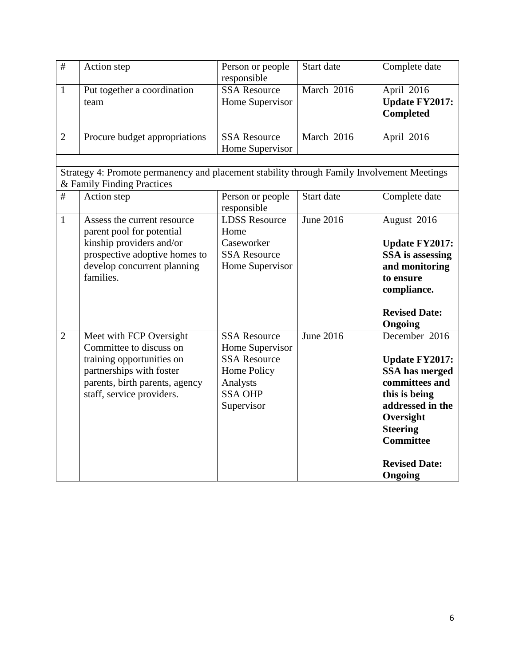| $\overline{+}$ | Action step                                                                                                                                                                | Person or people<br>responsible                                                                                          | Start date  | Complete date                                                                                                                                                                                                 |
|----------------|----------------------------------------------------------------------------------------------------------------------------------------------------------------------------|--------------------------------------------------------------------------------------------------------------------------|-------------|---------------------------------------------------------------------------------------------------------------------------------------------------------------------------------------------------------------|
| $\mathbf{1}$   | Put together a coordination<br>team                                                                                                                                        | <b>SSA Resource</b><br>Home Supervisor                                                                                   | March 2016  | April 2016<br><b>Update FY2017:</b><br>Completed                                                                                                                                                              |
| $\overline{2}$ | Procure budget appropriations                                                                                                                                              | <b>SSA Resource</b><br>Home Supervisor                                                                                   | March 2016  | April 2016                                                                                                                                                                                                    |
|                | Strategy 4: Promote permanency and placement stability through Family Involvement Meetings<br>& Family Finding Practices                                                   |                                                                                                                          |             |                                                                                                                                                                                                               |
| $\#$           | Action step                                                                                                                                                                | Person or people<br>responsible                                                                                          | Start date  | Complete date                                                                                                                                                                                                 |
| $\mathbf{1}$   | Assess the current resource<br>parent pool for potential<br>kinship providers and/or<br>prospective adoptive homes to<br>develop concurrent planning<br>families.          | <b>LDSS Resource</b><br>Home<br>Caseworker<br><b>SSA Resource</b><br>Home Supervisor                                     | June 2016   | August 2016<br><b>Update FY2017:</b><br>SSA is assessing<br>and monitoring<br>to ensure<br>compliance.<br><b>Revised Date:</b><br>Ongoing                                                                     |
| $\overline{2}$ | Meet with FCP Oversight<br>Committee to discuss on<br>training opportunities on<br>partnerships with foster<br>parents, birth parents, agency<br>staff, service providers. | <b>SSA Resource</b><br>Home Supervisor<br><b>SSA Resource</b><br>Home Policy<br>Analysts<br><b>SSA OHP</b><br>Supervisor | June $2016$ | December 2016<br><b>Update FY2017:</b><br><b>SSA</b> has merged<br>committees and<br>this is being<br>addressed in the<br>Oversight<br><b>Steering</b><br><b>Committee</b><br><b>Revised Date:</b><br>Ongoing |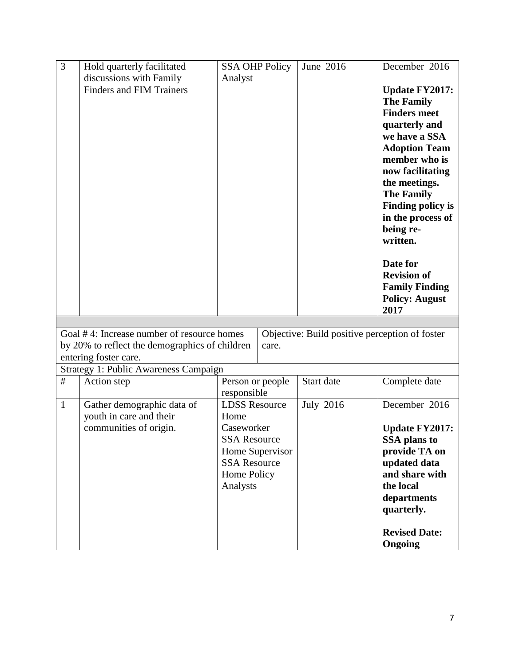| 3            | Hold quarterly facilitated                     | <b>SSA OHP Policy</b> | June 2016                                      | December 2016            |
|--------------|------------------------------------------------|-----------------------|------------------------------------------------|--------------------------|
|              | discussions with Family                        | Analyst               |                                                |                          |
|              | <b>Finders and FIM Trainers</b>                |                       |                                                | <b>Update FY2017:</b>    |
|              |                                                |                       |                                                | <b>The Family</b>        |
|              |                                                |                       |                                                | <b>Finders meet</b>      |
|              |                                                |                       |                                                | quarterly and            |
|              |                                                |                       |                                                | we have a SSA            |
|              |                                                |                       |                                                | <b>Adoption Team</b>     |
|              |                                                |                       |                                                | member who is            |
|              |                                                |                       |                                                | now facilitating         |
|              |                                                |                       |                                                | the meetings.            |
|              |                                                |                       |                                                | <b>The Family</b>        |
|              |                                                |                       |                                                | <b>Finding policy is</b> |
|              |                                                |                       |                                                | in the process of        |
|              |                                                |                       |                                                | being re-                |
|              |                                                |                       |                                                | written.                 |
|              |                                                |                       |                                                | Date for                 |
|              |                                                |                       |                                                | <b>Revision of</b>       |
|              |                                                |                       |                                                | <b>Family Finding</b>    |
|              |                                                |                       |                                                | <b>Policy: August</b>    |
|              |                                                |                       |                                                | 2017                     |
|              |                                                |                       |                                                |                          |
|              | Goal #4: Increase number of resource homes     |                       | Objective: Build positive perception of foster |                          |
|              | by 20% to reflect the demographics of children | care.                 |                                                |                          |
|              | entering foster care.                          |                       |                                                |                          |
|              | <b>Strategy 1: Public Awareness Campaign</b>   |                       |                                                |                          |
| $\#$         | Action step                                    | Person or people      | Start date                                     | Complete date            |
|              |                                                | responsible           |                                                |                          |
| $\mathbf{1}$ | Gather demographic data of                     | <b>LDSS Resource</b>  | <b>July 2016</b>                               | December 2016            |
|              | youth in care and their                        | Home                  |                                                |                          |
|              | communities of origin.                         | Caseworker            |                                                | <b>Update FY2017:</b>    |
|              |                                                | <b>SSA Resource</b>   |                                                | SSA plans to             |
|              |                                                | Home Supervisor       |                                                | provide TA on            |
|              |                                                | <b>SSA Resource</b>   |                                                | updated data             |
|              |                                                | Home Policy           |                                                | and share with           |
|              |                                                | Analysts              |                                                | the local                |
|              |                                                |                       |                                                | departments              |
|              |                                                |                       |                                                | quarterly.               |
|              |                                                |                       |                                                | <b>Revised Date:</b>     |
|              |                                                |                       |                                                | Ongoing                  |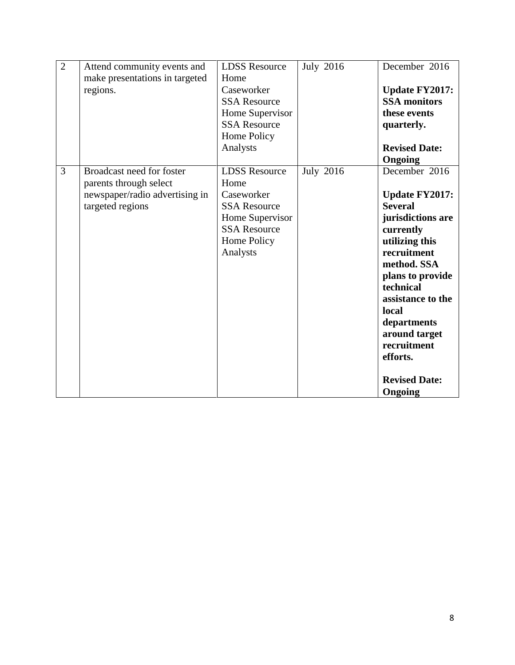| $\overline{2}$ | Attend community events and<br>make presentations in targeted<br>regions.                                 | <b>LDSS Resource</b><br>Home<br>Caseworker<br><b>SSA Resource</b><br>Home Supervisor<br><b>SSA Resource</b><br>Home Policy<br>Analysts | <b>July 2016</b> | December 2016<br><b>Update FY2017:</b><br><b>SSA</b> monitors<br>these events<br>quarterly.<br><b>Revised Date:</b><br>Ongoing                                                                                                                                                                          |
|----------------|-----------------------------------------------------------------------------------------------------------|----------------------------------------------------------------------------------------------------------------------------------------|------------------|---------------------------------------------------------------------------------------------------------------------------------------------------------------------------------------------------------------------------------------------------------------------------------------------------------|
| 3              | Broadcast need for foster<br>parents through select<br>newspaper/radio advertising in<br>targeted regions | <b>LDSS Resource</b><br>Home<br>Caseworker<br><b>SSA Resource</b><br>Home Supervisor<br><b>SSA Resource</b><br>Home Policy<br>Analysts | <b>July 2016</b> | December 2016<br><b>Update FY2017:</b><br><b>Several</b><br>jurisdictions are<br>currently<br>utilizing this<br>recruitment<br>method. SSA<br>plans to provide<br>technical<br>assistance to the<br>local<br>departments<br>around target<br>recruitment<br>efforts.<br><b>Revised Date:</b><br>Ongoing |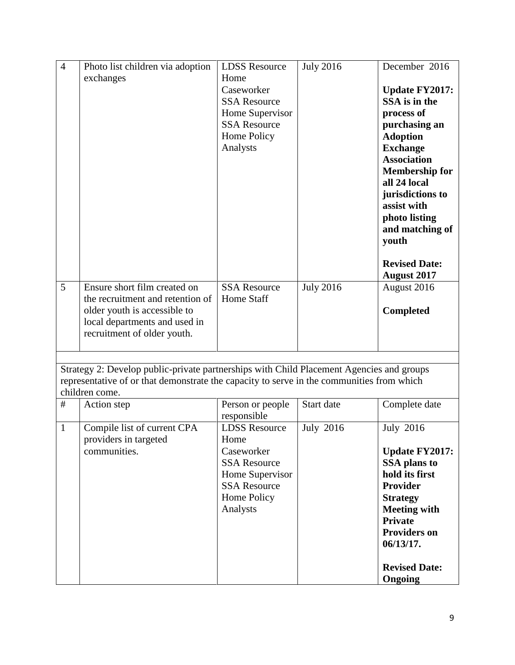| $\overline{4}$ | Photo list children via adoption                                                          | <b>LDSS Resource</b> | <b>July 2016</b> | December 2016         |
|----------------|-------------------------------------------------------------------------------------------|----------------------|------------------|-----------------------|
|                | exchanges                                                                                 | Home                 |                  |                       |
|                |                                                                                           | Caseworker           |                  | <b>Update FY2017:</b> |
|                |                                                                                           | <b>SSA Resource</b>  |                  | SSA is in the         |
|                |                                                                                           | Home Supervisor      |                  | process of            |
|                |                                                                                           | <b>SSA Resource</b>  |                  | purchasing an         |
|                |                                                                                           | Home Policy          |                  | <b>Adoption</b>       |
|                |                                                                                           | Analysts             |                  | <b>Exchange</b>       |
|                |                                                                                           |                      |                  | <b>Association</b>    |
|                |                                                                                           |                      |                  | <b>Membership for</b> |
|                |                                                                                           |                      |                  | all 24 local          |
|                |                                                                                           |                      |                  | jurisdictions to      |
|                |                                                                                           |                      |                  | assist with           |
|                |                                                                                           |                      |                  | photo listing         |
|                |                                                                                           |                      |                  | and matching of       |
|                |                                                                                           |                      |                  | youth                 |
|                |                                                                                           |                      |                  |                       |
|                |                                                                                           |                      |                  | <b>Revised Date:</b>  |
|                |                                                                                           |                      |                  | <b>August 2017</b>    |
| 5              | Ensure short film created on                                                              | <b>SSA Resource</b>  | <b>July 2016</b> | August 2016           |
|                | the recruitment and retention of                                                          | <b>Home Staff</b>    |                  |                       |
|                | older youth is accessible to                                                              |                      |                  | <b>Completed</b>      |
|                | local departments and used in                                                             |                      |                  |                       |
|                | recruitment of older youth.                                                               |                      |                  |                       |
|                |                                                                                           |                      |                  |                       |
|                |                                                                                           |                      |                  |                       |
|                | Strategy 2: Develop public-private partnerships with Child Placement Agencies and groups  |                      |                  |                       |
|                | representative of or that demonstrate the capacity to serve in the communities from which |                      |                  |                       |
|                | children come.                                                                            |                      |                  |                       |
| #              | Action step                                                                               | Person or people     | Start date       | Complete date         |
|                |                                                                                           | responsible          |                  |                       |
| $\mathbf{1}$   | Compile list of current CPA                                                               | <b>LDSS Resource</b> | <b>July 2016</b> | <b>July 2016</b>      |
|                | providers in targeted<br>communities.                                                     | Home<br>Caseworker   |                  |                       |
|                |                                                                                           |                      |                  | <b>Update FY2017:</b> |
|                |                                                                                           | <b>SSA Resource</b>  |                  | <b>SSA</b> plans to   |
|                |                                                                                           | Home Supervisor      |                  | hold its first        |
|                |                                                                                           | <b>SSA Resource</b>  |                  | <b>Provider</b>       |
|                |                                                                                           | Home Policy          |                  | <b>Strategy</b>       |
|                |                                                                                           | Analysts             |                  | <b>Meeting with</b>   |
|                |                                                                                           |                      |                  | <b>Private</b>        |
|                |                                                                                           |                      |                  | <b>Providers on</b>   |
|                |                                                                                           |                      |                  | 06/13/17.             |
|                |                                                                                           |                      |                  |                       |
|                |                                                                                           |                      |                  | <b>Revised Date:</b>  |
|                |                                                                                           |                      |                  | Ongoing               |